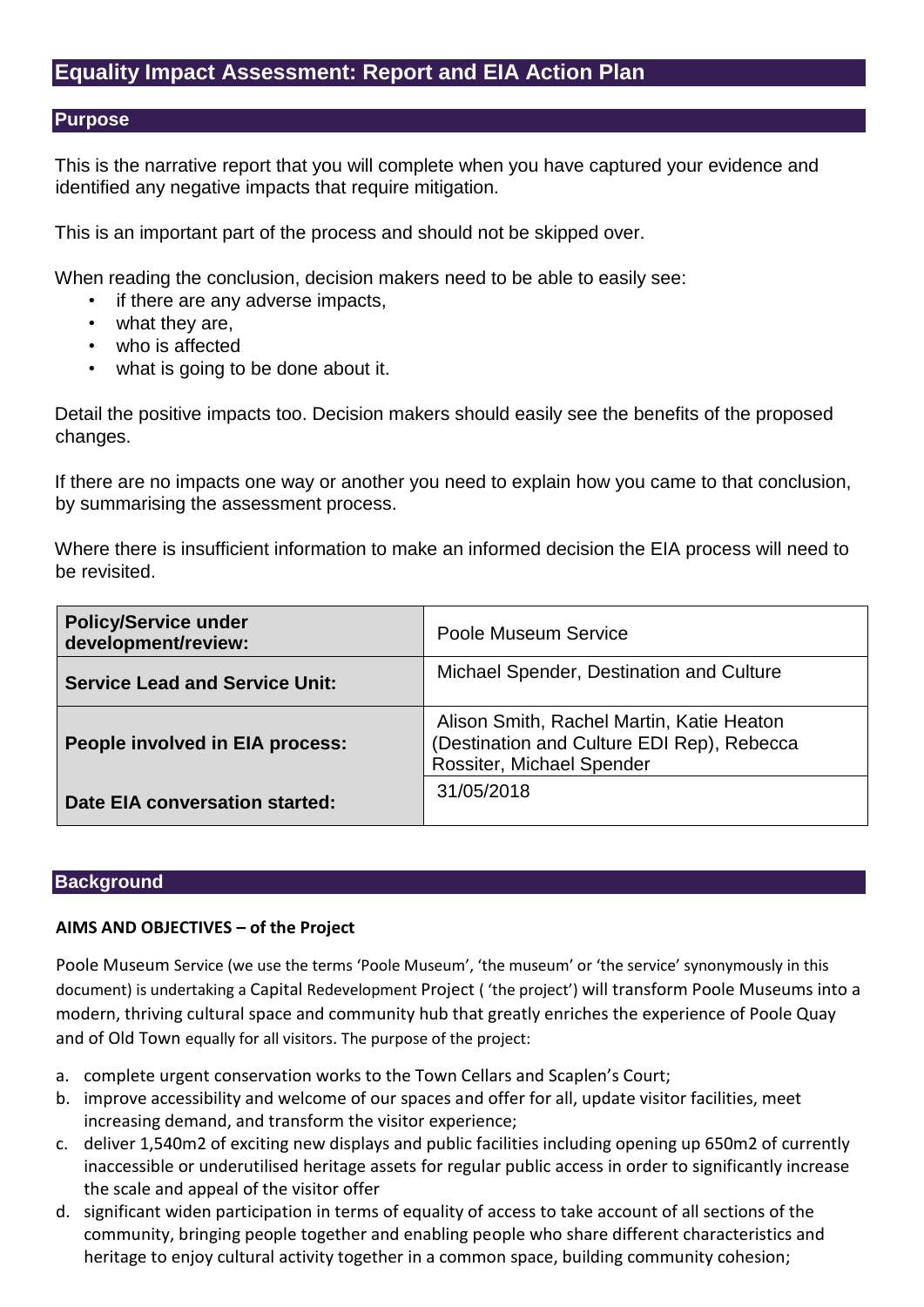## **Equality Impact Assessment: Report and EIA Action Plan**

#### **Purpose**

This is the narrative report that you will complete when you have captured your evidence and identified any negative impacts that require mitigation*.* 

This is an important part of the process and should not be skipped over.

When reading the conclusion, decision makers need to be able to easily see:

- if there are any adverse impacts,
- what they are,
- who is affected
- what is going to be done about it.

Detail the positive impacts too. Decision makers should easily see the benefits of the proposed changes.

If there are no impacts one way or another you need to explain how you came to that conclusion, by summarising the assessment process.

Where there is insufficient information to make an informed decision the EIA process will need to be revisited.

| <b>Policy/Service under</b><br>development/review: | Poole Museum Service                                                                                                 |
|----------------------------------------------------|----------------------------------------------------------------------------------------------------------------------|
| <b>Service Lead and Service Unit:</b>              | Michael Spender, Destination and Culture                                                                             |
| People involved in EIA process:                    | Alison Smith, Rachel Martin, Katie Heaton<br>(Destination and Culture EDI Rep), Rebecca<br>Rossiter, Michael Spender |
| Date EIA conversation started:                     | 31/05/2018                                                                                                           |

#### **Background**

#### **AIMS AND OBJECTIVES – of the Project**

Poole Museum Service (we use the terms 'Poole Museum', 'the museum' or 'the service' synonymously in this document) is undertaking a Capital Redevelopment Project ( 'the project') will transform Poole Museums into a modern, thriving cultural space and community hub that greatly enriches the experience of Poole Quay and of Old Town equally for all visitors. The purpose of the project:

- a. complete urgent conservation works to the Town Cellars and Scaplen's Court;
- b. improve accessibility and welcome of our spaces and offer for all, update visitor facilities, meet increasing demand, and transform the visitor experience;
- c. deliver 1,540m2 of exciting new displays and public facilities including opening up 650m2 of currently inaccessible or underutilised heritage assets for regular public access in order to significantly increase the scale and appeal of the visitor offer
- d. significant widen participation in terms of equality of access to take account of all sections of the community, bringing people together and enabling people who share different characteristics and heritage to enjoy cultural activity together in a common space, building community cohesion;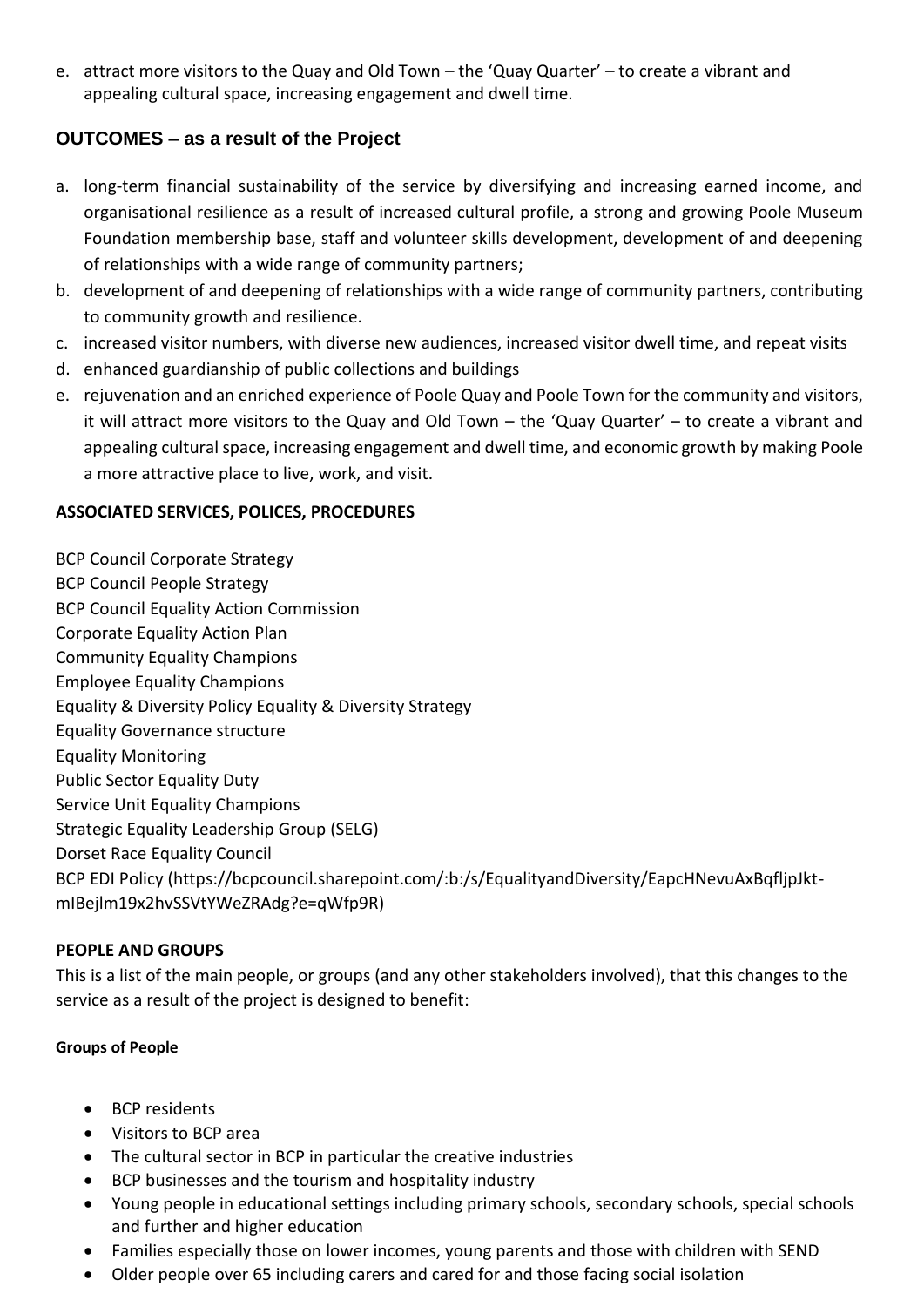e. attract more visitors to the Quay and Old Town – the 'Quay Quarter' – to create a vibrant and appealing cultural space, increasing engagement and dwell time.

## **OUTCOMES – as a result of the Project**

- a. long-term financial sustainability of the service by diversifying and increasing earned income, and organisational resilience as a result of increased cultural profile, a strong and growing Poole Museum Foundation membership base, staff and volunteer skills development, development of and deepening of relationships with a wide range of community partners;
- b. development of and deepening of relationships with a wide range of community partners, contributing to community growth and resilience.
- c. increased visitor numbers, with diverse new audiences, increased visitor dwell time, and repeat visits
- d. enhanced guardianship of public collections and buildings
- e. rejuvenation and an enriched experience of Poole Quay and Poole Town for the community and visitors, it will attract more visitors to the Quay and Old Town – the 'Quay Quarter' – to create a vibrant and appealing cultural space, increasing engagement and dwell time, and economic growth by making Poole a more attractive place to live, work, and visit.

## **ASSOCIATED SERVICES, POLICES, PROCEDURES**

BCP Council Corporate Strategy

- BCP Council People Strategy
- BCP Council Equality Action Commission
- Corporate Equality Action Plan
- Community Equality Champions
- Employee Equality Champions
- Equality & Diversity Policy Equality & Diversity Strategy
- Equality Governance structure
- Equality Monitoring
- Public Sector Equality Duty
- Service Unit Equality Champions
- Strategic Equality Leadership Group (SELG)
- Dorset Race Equality Council
- BCP EDI Policy (https://bcpcouncil.sharepoint.com/:b:/s/EqualityandDiversity/EapcHNevuAxBqfljpJktmIBejlm19x2hvSSVtYWeZRAdg?e=qWfp9R)

## **PEOPLE AND GROUPS**

This is a list of the main people, or groups (and any other stakeholders involved), that this changes to the service as a result of the project is designed to benefit:

#### **Groups of People**

- BCP residents
- Visitors to BCP area
- The cultural sector in BCP in particular the creative industries
- BCP businesses and the tourism and hospitality industry
- Young people in educational settings including primary schools, secondary schools, special schools and further and higher education
- Families especially those on lower incomes, young parents and those with children with SEND
- Older people over 65 including carers and cared for and those facing social isolation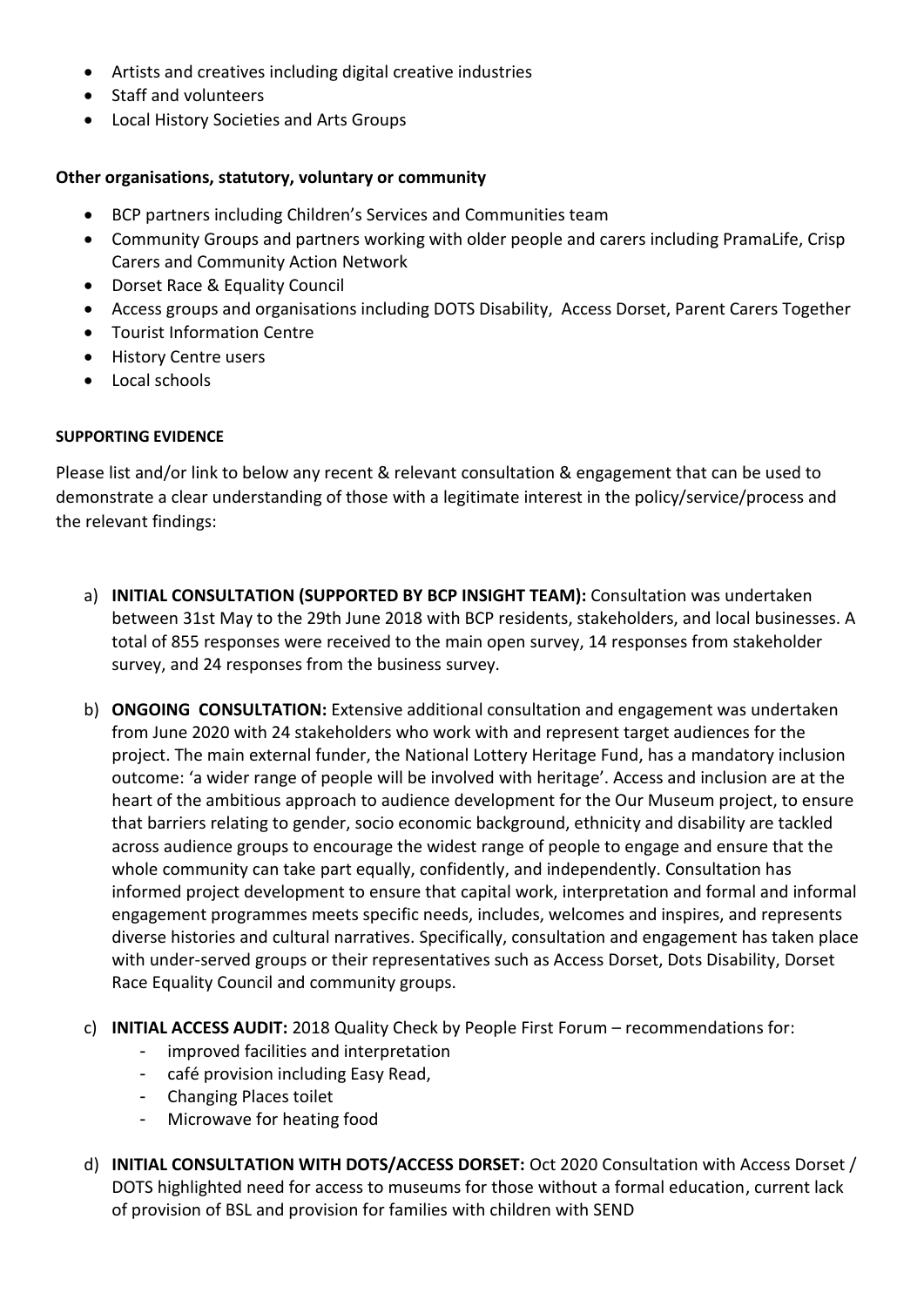- Artists and creatives including digital creative industries
- Staff and volunteers
- Local History Societies and Arts Groups

#### **Other organisations, statutory, voluntary or community**

- BCP partners including Children's Services and Communities team
- Community Groups and partners working with older people and carers including PramaLife, Crisp Carers and Community Action Network
- Dorset Race & Equality Council
- Access groups and organisations including DOTS Disability, Access Dorset, Parent Carers Together
- Tourist Information Centre
- **•** History Centre users
- Local schools

#### **SUPPORTING EVIDENCE**

Please list and/or link to below any recent & relevant consultation & engagement that can be used to demonstrate a clear understanding of those with a legitimate interest in the policy/service/process and the relevant findings:

- a) **INITIAL CONSULTATION (SUPPORTED BY BCP INSIGHT TEAM):** Consultation was undertaken between 31st May to the 29th June 2018 with BCP residents, stakeholders, and local businesses. A total of 855 responses were received to the main open survey, 14 responses from stakeholder survey, and 24 responses from the business survey.
- b) **ONGOING CONSULTATION:** Extensive additional consultation and engagement was undertaken from June 2020 with 24 stakeholders who work with and represent target audiences for the project. The main external funder, the National Lottery Heritage Fund, has a mandatory inclusion outcome: 'a wider range of people will be involved with heritage'. Access and inclusion are at the heart of the ambitious approach to audience development for the Our Museum project, to ensure that barriers relating to gender, socio economic background, ethnicity and disability are tackled across audience groups to encourage the widest range of people to engage and ensure that the whole community can take part equally, confidently, and independently. Consultation has informed project development to ensure that capital work, interpretation and formal and informal engagement programmes meets specific needs, includes, welcomes and inspires, and represents diverse histories and cultural narratives. Specifically, consultation and engagement has taken place with under-served groups or their representatives such as Access Dorset, Dots Disability, Dorset Race Equality Council and community groups.
- c) **INITIAL ACCESS AUDIT:** 2018 Quality Check by People First Forum recommendations for:
	- improved facilities and interpretation
	- café provision including Easy Read,
	- Changing Places toilet
	- Microwave for heating food
- d) **INITIAL CONSULTATION WITH DOTS/ACCESS DORSET:** Oct 2020 Consultation with Access Dorset / DOTS highlighted need for access to museums for those without a formal education, current lack of provision of BSL and provision for families with children with SEND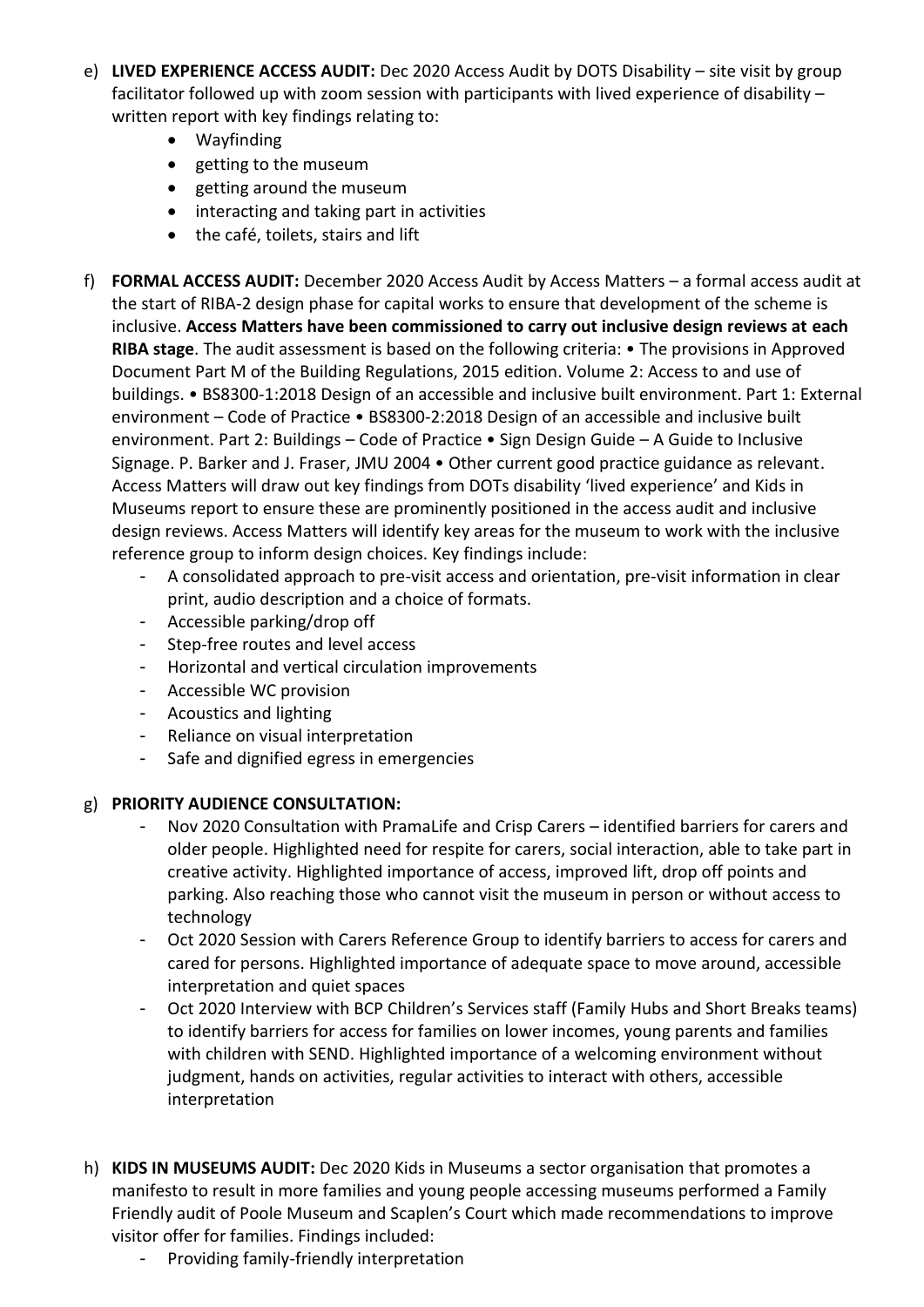- e) **LIVED EXPERIENCE ACCESS AUDIT:** Dec 2020 Access Audit by DOTS Disability site visit by group facilitator followed up with zoom session with participants with lived experience of disability – written report with key findings relating to:
	- Wayfinding
	- getting to the museum
	- getting around the museum
	- interacting and taking part in activities
	- the café, toilets, stairs and lift
- f) **FORMAL ACCESS AUDIT:** December 2020 Access Audit by Access Matters a formal access audit at the start of RIBA-2 design phase for capital works to ensure that development of the scheme is inclusive. **Access Matters have been commissioned to carry out inclusive design reviews at each RIBA stage**. The audit assessment is based on the following criteria: • The provisions in Approved Document Part M of the Building Regulations, 2015 edition. Volume 2: Access to and use of buildings. • BS8300-1:2018 Design of an accessible and inclusive built environment. Part 1: External environment – Code of Practice • BS8300-2:2018 Design of an accessible and inclusive built environment. Part 2: Buildings – Code of Practice • Sign Design Guide – A Guide to Inclusive Signage. P. Barker and J. Fraser, JMU 2004 • Other current good practice guidance as relevant. Access Matters will draw out key findings from DOTs disability 'lived experience' and Kids in Museums report to ensure these are prominently positioned in the access audit and inclusive design reviews. Access Matters will identify key areas for the museum to work with the inclusive reference group to inform design choices. Key findings include:
	- A consolidated approach to pre-visit access and orientation, pre-visit information in clear print, audio description and a choice of formats.
	- Accessible parking/drop off
	- Step-free routes and level access
	- Horizontal and vertical circulation improvements
	- Accessible WC provision
	- Acoustics and lighting
	- Reliance on visual interpretation
	- Safe and dignified egress in emergencies

#### g) **PRIORITY AUDIENCE CONSULTATION:**

- Nov 2020 Consultation with PramaLife and Crisp Carers identified barriers for carers and older people. Highlighted need for respite for carers, social interaction, able to take part in creative activity. Highlighted importance of access, improved lift, drop off points and parking. Also reaching those who cannot visit the museum in person or without access to technology
- Oct 2020 Session with Carers Reference Group to identify barriers to access for carers and cared for persons. Highlighted importance of adequate space to move around, accessible interpretation and quiet spaces
- Oct 2020 Interview with BCP Children's Services staff (Family Hubs and Short Breaks teams) to identify barriers for access for families on lower incomes, young parents and families with children with SEND. Highlighted importance of a welcoming environment without judgment, hands on activities, regular activities to interact with others, accessible interpretation
- h) **KIDS IN MUSEUMS AUDIT:** Dec 2020 Kids in Museums a sector organisation that promotes a manifesto to result in more families and young people accessing museums performed a Family Friendly audit of Poole Museum and Scaplen's Court which made recommendations to improve visitor offer for families. Findings included:
	- Providing family-friendly interpretation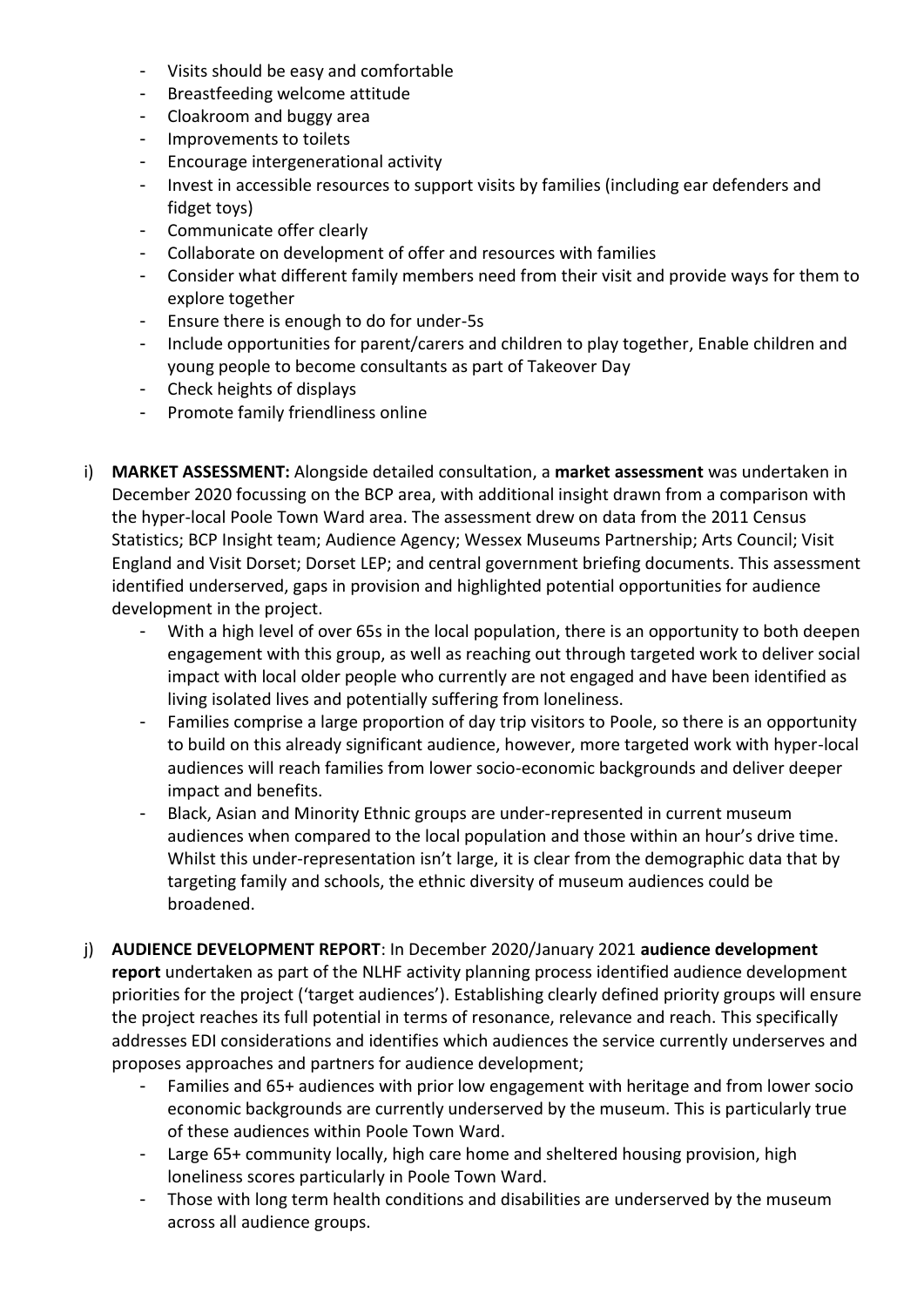- Visits should be easy and comfortable
- Breastfeeding welcome attitude
- Cloakroom and buggy area
- Improvements to toilets
- Encourage intergenerational activity
- Invest in accessible resources to support visits by families (including ear defenders and fidget toys)
- Communicate offer clearly
- Collaborate on development of offer and resources with families
- Consider what different family members need from their visit and provide ways for them to explore together
- Ensure there is enough to do for under-5s
- Include opportunities for parent/carers and children to play together, Enable children and young people to become consultants as part of Takeover Day
- Check heights of displays
- Promote family friendliness online
- i) **MARKET ASSESSMENT:** Alongside detailed consultation, a **market assessment** was undertaken in December 2020 focussing on the BCP area, with additional insight drawn from a comparison with the hyper-local Poole Town Ward area. The assessment drew on data from the 2011 Census Statistics; BCP Insight team; Audience Agency; Wessex Museums Partnership; Arts Council; Visit England and Visit Dorset; Dorset LEP; and central government briefing documents. This assessment identified underserved, gaps in provision and highlighted potential opportunities for audience development in the project.
	- With a high level of over 65s in the local population, there is an opportunity to both deepen engagement with this group, as well as reaching out through targeted work to deliver social impact with local older people who currently are not engaged and have been identified as living isolated lives and potentially suffering from loneliness.
	- Families comprise a large proportion of day trip visitors to Poole, so there is an opportunity to build on this already significant audience, however, more targeted work with hyper-local audiences will reach families from lower socio-economic backgrounds and deliver deeper impact and benefits.
	- Black, Asian and Minority Ethnic groups are under-represented in current museum audiences when compared to the local population and those within an hour's drive time. Whilst this under-representation isn't large, it is clear from the demographic data that by targeting family and schools, the ethnic diversity of museum audiences could be broadened.
- j) **AUDIENCE DEVELOPMENT REPORT**: In December 2020/January 2021 **audience development report** undertaken as part of the NLHF activity planning process identified audience development priorities for the project ('target audiences'). Establishing clearly defined priority groups will ensure the project reaches its full potential in terms of resonance, relevance and reach. This specifically addresses EDI considerations and identifies which audiences the service currently underserves and proposes approaches and partners for audience development;
	- Families and 65+ audiences with prior low engagement with heritage and from lower socio economic backgrounds are currently underserved by the museum. This is particularly true of these audiences within Poole Town Ward.
	- Large 65+ community locally, high care home and sheltered housing provision, high loneliness scores particularly in Poole Town Ward.
	- Those with long term health conditions and disabilities are underserved by the museum across all audience groups.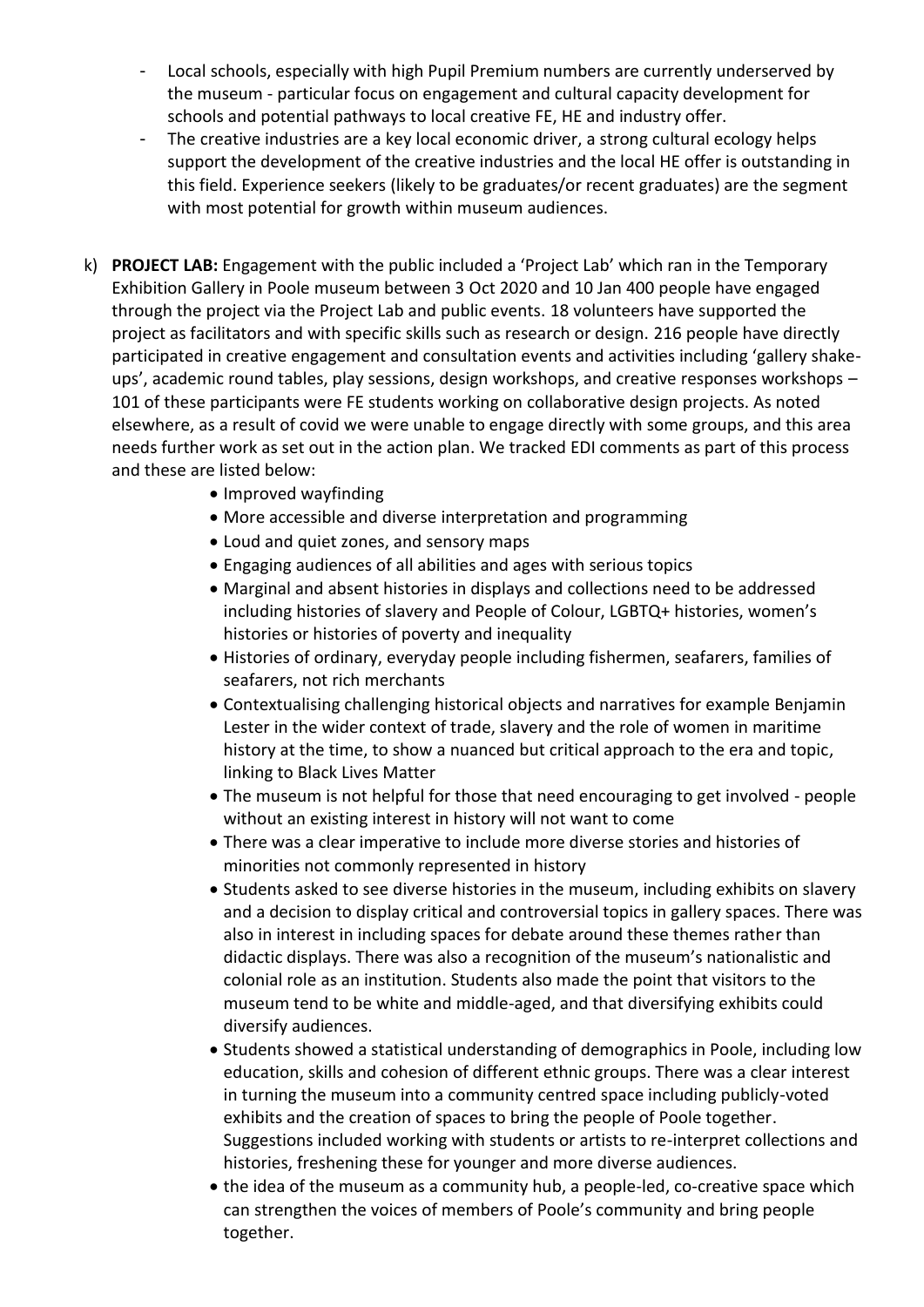- Local schools, especially with high Pupil Premium numbers are currently underserved by the museum - particular focus on engagement and cultural capacity development for schools and potential pathways to local creative FE, HE and industry offer.
- The creative industries are a key local economic driver, a strong cultural ecology helps support the development of the creative industries and the local HE offer is outstanding in this field. Experience seekers (likely to be graduates/or recent graduates) are the segment with most potential for growth within museum audiences.
- k) **PROJECT LAB:** Engagement with the public included a 'Project Lab' which ran in the Temporary Exhibition Gallery in Poole museum between 3 Oct 2020 and 10 Jan 400 people have engaged through the project via the Project Lab and public events. 18 volunteers have supported the project as facilitators and with specific skills such as research or design. 216 people have directly participated in creative engagement and consultation events and activities including 'gallery shakeups', academic round tables, play sessions, design workshops, and creative responses workshops – 101 of these participants were FE students working on collaborative design projects. As noted elsewhere, as a result of covid we were unable to engage directly with some groups, and this area needs further work as set out in the action plan. We tracked EDI comments as part of this process and these are listed below:
	- Improved wayfinding
	- More accessible and diverse interpretation and programming
	- Loud and quiet zones, and sensory maps
	- Engaging audiences of all abilities and ages with serious topics
	- Marginal and absent histories in displays and collections need to be addressed including histories of slavery and People of Colour, LGBTQ+ histories, women's histories or histories of poverty and inequality
	- Histories of ordinary, everyday people including fishermen, seafarers, families of seafarers, not rich merchants
	- Contextualising challenging historical objects and narratives for example Benjamin Lester in the wider context of trade, slavery and the role of women in maritime history at the time, to show a nuanced but critical approach to the era and topic, linking to Black Lives Matter
	- The museum is not helpful for those that need encouraging to get involved people without an existing interest in history will not want to come
	- There was a clear imperative to include more diverse stories and histories of minorities not commonly represented in history
	- Students asked to see diverse histories in the museum, including exhibits on slavery and a decision to display critical and controversial topics in gallery spaces. There was also in interest in including spaces for debate around these themes rather than didactic displays. There was also a recognition of the museum's nationalistic and colonial role as an institution. Students also made the point that visitors to the museum tend to be white and middle-aged, and that diversifying exhibits could diversify audiences.
	- Students showed a statistical understanding of demographics in Poole, including low education, skills and cohesion of different ethnic groups. There was a clear interest in turning the museum into a community centred space including publicly-voted exhibits and the creation of spaces to bring the people of Poole together. Suggestions included working with students or artists to re-interpret collections and histories, freshening these for younger and more diverse audiences.
	- the idea of the museum as a community hub, a people-led, co-creative space which can strengthen the voices of members of Poole's community and bring people together.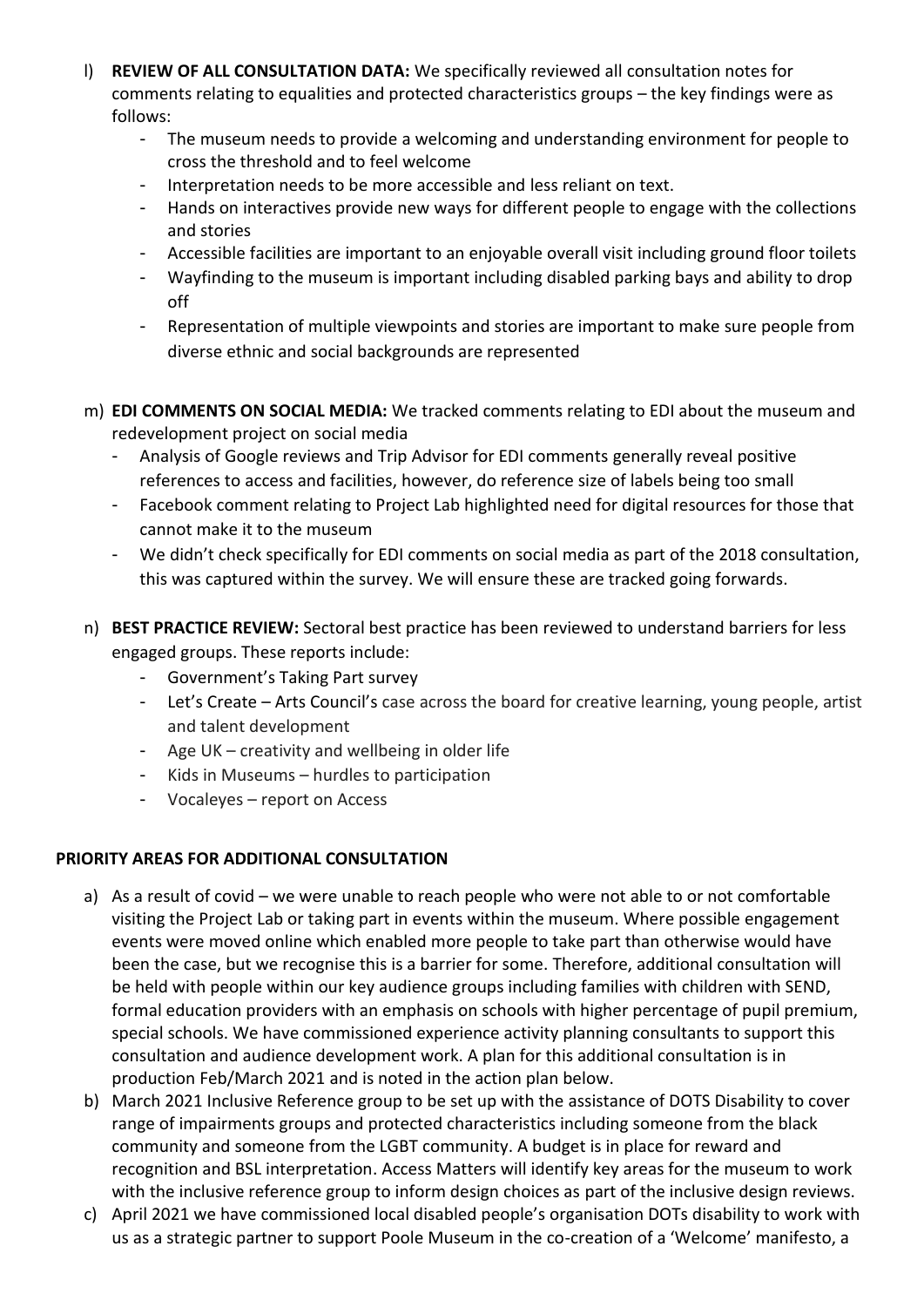- l) **REVIEW OF ALL CONSULTATION DATA:** We specifically reviewed all consultation notes for comments relating to equalities and protected characteristics groups – the key findings were as follows:
	- The museum needs to provide a welcoming and understanding environment for people to cross the threshold and to feel welcome
	- Interpretation needs to be more accessible and less reliant on text.
	- Hands on interactives provide new ways for different people to engage with the collections and stories
	- Accessible facilities are important to an enjoyable overall visit including ground floor toilets
	- Wayfinding to the museum is important including disabled parking bays and ability to drop off
	- Representation of multiple viewpoints and stories are important to make sure people from diverse ethnic and social backgrounds are represented
- m) **EDI COMMENTS ON SOCIAL MEDIA:** We tracked comments relating to EDI about the museum and redevelopment project on social media
	- Analysis of Google reviews and Trip Advisor for EDI comments generally reveal positive references to access and facilities, however, do reference size of labels being too small
	- Facebook comment relating to Project Lab highlighted need for digital resources for those that cannot make it to the museum
	- We didn't check specifically for EDI comments on social media as part of the 2018 consultation, this was captured within the survey. We will ensure these are tracked going forwards.
- n) **BEST PRACTICE REVIEW:** Sectoral best practice has been reviewed to understand barriers for less engaged groups. These reports include:
	- Government's Taking Part survey
	- Let's Create Arts Council's case across the board for creative learning, young people, artist and talent development
	- Age UK creativity and wellbeing in older life
	- Kids in Museums hurdles to participation
	- Vocaleyes report on Access

## **PRIORITY AREAS FOR ADDITIONAL CONSULTATION**

- a) As a result of covid we were unable to reach people who were not able to or not comfortable visiting the Project Lab or taking part in events within the museum. Where possible engagement events were moved online which enabled more people to take part than otherwise would have been the case, but we recognise this is a barrier for some. Therefore, additional consultation will be held with people within our key audience groups including families with children with SEND, formal education providers with an emphasis on schools with higher percentage of pupil premium, special schools. We have commissioned experience activity planning consultants to support this consultation and audience development work. A plan for this additional consultation is in production Feb/March 2021 and is noted in the action plan below.
- b) March 2021 Inclusive Reference group to be set up with the assistance of DOTS Disability to cover range of impairments groups and protected characteristics including someone from the black community and someone from the LGBT community. A budget is in place for reward and recognition and BSL interpretation. Access Matters will identify key areas for the museum to work with the inclusive reference group to inform design choices as part of the inclusive design reviews.
- c) April 2021 we have commissioned local disabled people's organisation DOTs disability to work with us as a strategic partner to support Poole Museum in the co-creation of a 'Welcome' manifesto, a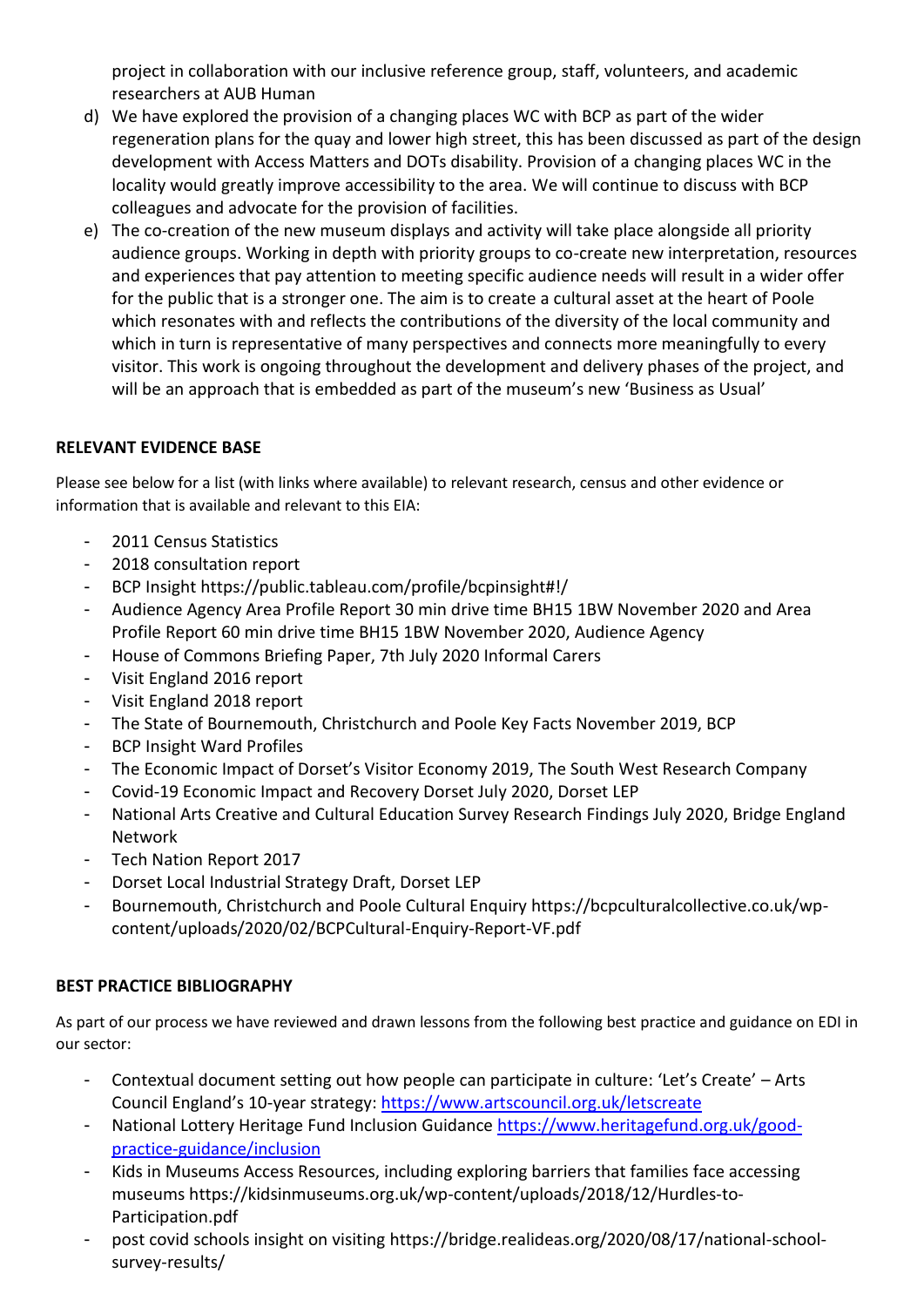project in collaboration with our inclusive reference group, staff, volunteers, and academic researchers at AUB Human

- d) We have explored the provision of a changing places WC with BCP as part of the wider regeneration plans for the quay and lower high street, this has been discussed as part of the design development with Access Matters and DOTs disability. Provision of a changing places WC in the locality would greatly improve accessibility to the area. We will continue to discuss with BCP colleagues and advocate for the provision of facilities.
- e) The co-creation of the new museum displays and activity will take place alongside all priority audience groups. Working in depth with priority groups to co-create new interpretation, resources and experiences that pay attention to meeting specific audience needs will result in a wider offer for the public that is a stronger one. The aim is to create a cultural asset at the heart of Poole which resonates with and reflects the contributions of the diversity of the local community and which in turn is representative of many perspectives and connects more meaningfully to every visitor. This work is ongoing throughout the development and delivery phases of the project, and will be an approach that is embedded as part of the museum's new 'Business as Usual'

### **RELEVANT EVIDENCE BASE**

Please see below for a list (with links where available) to relevant research, census and other evidence or information that is available and relevant to this EIA:

- 2011 Census Statistics
- 2018 consultation report
- BCP Insight https://public.tableau.com/profile/bcpinsight#!/
- Audience Agency Area Profile Report 30 min drive time BH15 1BW November 2020 and Area Profile Report 60 min drive time BH15 1BW November 2020, Audience Agency
- House of Commons Briefing Paper, 7th July 2020 Informal Carers
- Visit England 2016 report
- Visit England 2018 report
- The State of Bournemouth, Christchurch and Poole Key Facts November 2019, BCP
- BCP Insight Ward Profiles
- The Economic Impact of Dorset's Visitor Economy 2019, The South West Research Company
- Covid-19 Economic Impact and Recovery Dorset July 2020, Dorset LEP
- National Arts Creative and Cultural Education Survey Research Findings July 2020, Bridge England Network
- Tech Nation Report 2017
- Dorset Local Industrial Strategy Draft, Dorset LEP
- Bournemouth, Christchurch and Poole Cultural Enquiry https://bcpculturalcollective.co.uk/wpcontent/uploads/2020/02/BCPCultural-Enquiry-Report-VF.pdf

#### **BEST PRACTICE BIBLIOGRAPHY**

As part of our process we have reviewed and drawn lessons from the following best practice and guidance on EDI in our sector:

- Contextual document setting out how people can participate in culture: 'Let's Create' Arts Council England's 10-year strategy:<https://www.artscouncil.org.uk/letscreate>
- National Lottery Heritage Fund Inclusion Guidance [https://www.heritagefund.org.uk/good](https://www.heritagefund.org.uk/good-practice-guidance/inclusion)[practice-guidance/inclusion](https://www.heritagefund.org.uk/good-practice-guidance/inclusion)
- Kids in Museums Access Resources, including exploring barriers that families face accessing museums https://kidsinmuseums.org.uk/wp-content/uploads/2018/12/Hurdles-to-Participation.pdf
- post covid schools insight on visiting https://bridge.realideas.org/2020/08/17/national-schoolsurvey-results/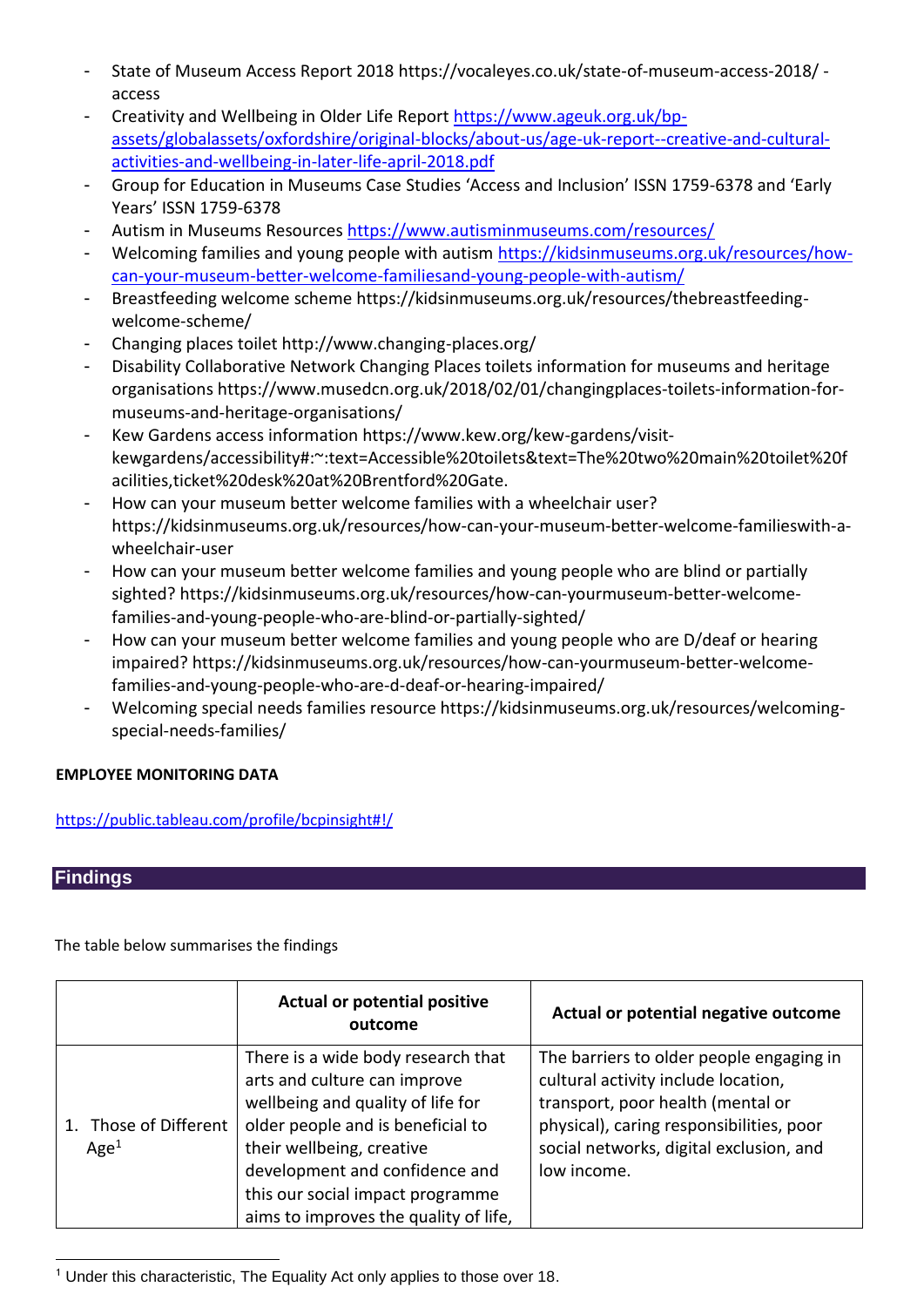- State of Museum Access Report 2018 https://vocaleyes.co.uk/state-of-museum-access-2018/ access
- Creativity and Wellbeing in Older Life Report [https://www.ageuk.org.uk/bp](https://www.ageuk.org.uk/bp-assets/globalassets/oxfordshire/original-blocks/about-us/age-uk-report--creative-and-cultural-activities-and-wellbeing-in-later-life-april-2018.pdf)[assets/globalassets/oxfordshire/original-blocks/about-us/age-uk-report--creative-and-cultural](https://www.ageuk.org.uk/bp-assets/globalassets/oxfordshire/original-blocks/about-us/age-uk-report--creative-and-cultural-activities-and-wellbeing-in-later-life-april-2018.pdf)[activities-and-wellbeing-in-later-life-april-2018.pdf](https://www.ageuk.org.uk/bp-assets/globalassets/oxfordshire/original-blocks/about-us/age-uk-report--creative-and-cultural-activities-and-wellbeing-in-later-life-april-2018.pdf)
- Group for Education in Museums Case Studies 'Access and Inclusion' ISSN 1759-6378 and 'Early Years' ISSN 1759-6378
- Autism in Museums Resources<https://www.autisminmuseums.com/resources/>
- Welcoming families and young people with autism [https://kidsinmuseums.org.uk/resources/how](https://kidsinmuseums.org.uk/resources/how-can-your-museum-better-welcome-familiesand-young-people-with-autism/)[can-your-museum-better-welcome-familiesand-young-people-with-autism/](https://kidsinmuseums.org.uk/resources/how-can-your-museum-better-welcome-familiesand-young-people-with-autism/)
- Breastfeeding welcome scheme https://kidsinmuseums.org.uk/resources/thebreastfeedingwelcome-scheme/
- Changing places toilet http://www.changing-places.org/
- Disability Collaborative Network Changing Places toilets information for museums and heritage organisations https://www.musedcn.org.uk/2018/02/01/changingplaces-toilets-information-formuseums-and-heritage-organisations/
- Kew Gardens access information https://www.kew.org/kew-gardens/visitkewgardens/accessibility#:~:text=Accessible%20toilets&text=The%20two%20main%20toilet%20f acilities,ticket%20desk%20at%20Brentford%20Gate.
- How can your museum better welcome families with a wheelchair user? https://kidsinmuseums.org.uk/resources/how-can-your-museum-better-welcome-familieswith-awheelchair-user
- How can your museum better welcome families and young people who are blind or partially sighted? https://kidsinmuseums.org.uk/resources/how-can-yourmuseum-better-welcomefamilies-and-young-people-who-are-blind-or-partially-sighted/
- How can your museum better welcome families and young people who are D/deaf or hearing impaired? https://kidsinmuseums.org.uk/resources/how-can-yourmuseum-better-welcomefamilies-and-young-people-who-are-d-deaf-or-hearing-impaired/
- Welcoming special needs families resource https://kidsinmuseums.org.uk/resources/welcomingspecial-needs-families/

## **EMPLOYEE MONITORING DATA**

<https://public.tableau.com/profile/bcpinsight#!/>

## **Findings**

The table below summarises the findings

|                                           | <b>Actual or potential positive</b><br>outcome                                                                                                                                                                                                                                           | Actual or potential negative outcome                                                                                                                                                                                       |
|-------------------------------------------|------------------------------------------------------------------------------------------------------------------------------------------------------------------------------------------------------------------------------------------------------------------------------------------|----------------------------------------------------------------------------------------------------------------------------------------------------------------------------------------------------------------------------|
| 1. Those of Different<br>Age <sup>1</sup> | There is a wide body research that<br>arts and culture can improve<br>wellbeing and quality of life for<br>older people and is beneficial to<br>their wellbeing, creative<br>development and confidence and<br>this our social impact programme<br>aims to improves the quality of life, | The barriers to older people engaging in<br>cultural activity include location,<br>transport, poor health (mental or<br>physical), caring responsibilities, poor<br>social networks, digital exclusion, and<br>low income. |

**<sup>.</sup>** <sup>1</sup> Under this characteristic, The Equality Act only applies to those over 18.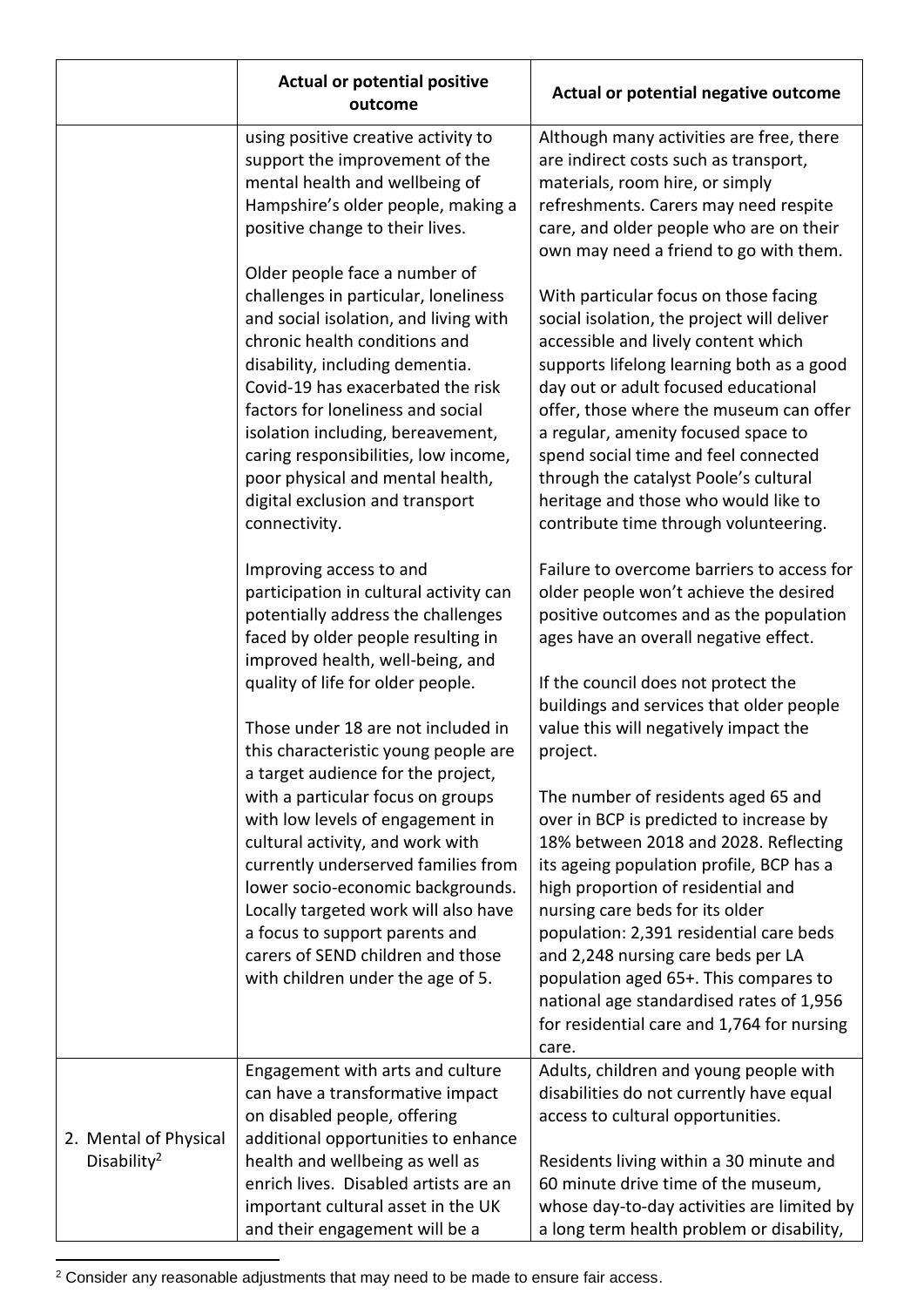|                                                  | <b>Actual or potential positive</b><br>outcome                                                                                                                                                                                                                                                                                                                                                                                    | Actual or potential negative outcome                                                                                                                                                                                                                                                                                                                                                                                                                                      |
|--------------------------------------------------|-----------------------------------------------------------------------------------------------------------------------------------------------------------------------------------------------------------------------------------------------------------------------------------------------------------------------------------------------------------------------------------------------------------------------------------|---------------------------------------------------------------------------------------------------------------------------------------------------------------------------------------------------------------------------------------------------------------------------------------------------------------------------------------------------------------------------------------------------------------------------------------------------------------------------|
|                                                  | using positive creative activity to<br>support the improvement of the<br>mental health and wellbeing of<br>Hampshire's older people, making a<br>positive change to their lives.                                                                                                                                                                                                                                                  | Although many activities are free, there<br>are indirect costs such as transport,<br>materials, room hire, or simply<br>refreshments. Carers may need respite<br>care, and older people who are on their<br>own may need a friend to go with them.                                                                                                                                                                                                                        |
|                                                  | Older people face a number of<br>challenges in particular, loneliness<br>and social isolation, and living with<br>chronic health conditions and<br>disability, including dementia.<br>Covid-19 has exacerbated the risk<br>factors for loneliness and social<br>isolation including, bereavement,<br>caring responsibilities, low income,<br>poor physical and mental health,<br>digital exclusion and transport<br>connectivity. | With particular focus on those facing<br>social isolation, the project will deliver<br>accessible and lively content which<br>supports lifelong learning both as a good<br>day out or adult focused educational<br>offer, those where the museum can offer<br>a regular, amenity focused space to<br>spend social time and feel connected<br>through the catalyst Poole's cultural<br>heritage and those who would like to<br>contribute time through volunteering.       |
|                                                  | Improving access to and<br>participation in cultural activity can<br>potentially address the challenges<br>faced by older people resulting in<br>improved health, well-being, and<br>quality of life for older people.<br>Those under 18 are not included in<br>this characteristic young people are                                                                                                                              | Failure to overcome barriers to access for<br>older people won't achieve the desired<br>positive outcomes and as the population<br>ages have an overall negative effect.<br>If the council does not protect the<br>buildings and services that older people<br>value this will negatively impact the<br>project.                                                                                                                                                          |
|                                                  | a target audience for the project,<br>with a particular focus on groups<br>with low levels of engagement in<br>cultural activity, and work with<br>currently underserved families from<br>lower socio-economic backgrounds.<br>Locally targeted work will also have<br>a focus to support parents and<br>carers of SEND children and those<br>with children under the age of 5.                                                   | The number of residents aged 65 and<br>over in BCP is predicted to increase by<br>18% between 2018 and 2028. Reflecting<br>its ageing population profile, BCP has a<br>high proportion of residential and<br>nursing care beds for its older<br>population: 2,391 residential care beds<br>and 2,248 nursing care beds per LA<br>population aged 65+. This compares to<br>national age standardised rates of 1,956<br>for residential care and 1,764 for nursing<br>care. |
| 2. Mental of Physical<br>Disability <sup>2</sup> | Engagement with arts and culture<br>can have a transformative impact<br>on disabled people, offering<br>additional opportunities to enhance<br>health and wellbeing as well as<br>enrich lives. Disabled artists are an<br>important cultural asset in the UK<br>and their engagement will be a                                                                                                                                   | Adults, children and young people with<br>disabilities do not currently have equal<br>access to cultural opportunities.<br>Residents living within a 30 minute and<br>60 minute drive time of the museum,<br>whose day-to-day activities are limited by<br>a long term health problem or disability,                                                                                                                                                                      |

 $2$  Consider any reasonable adjustments that may need to be made to ensure fair access.

**.**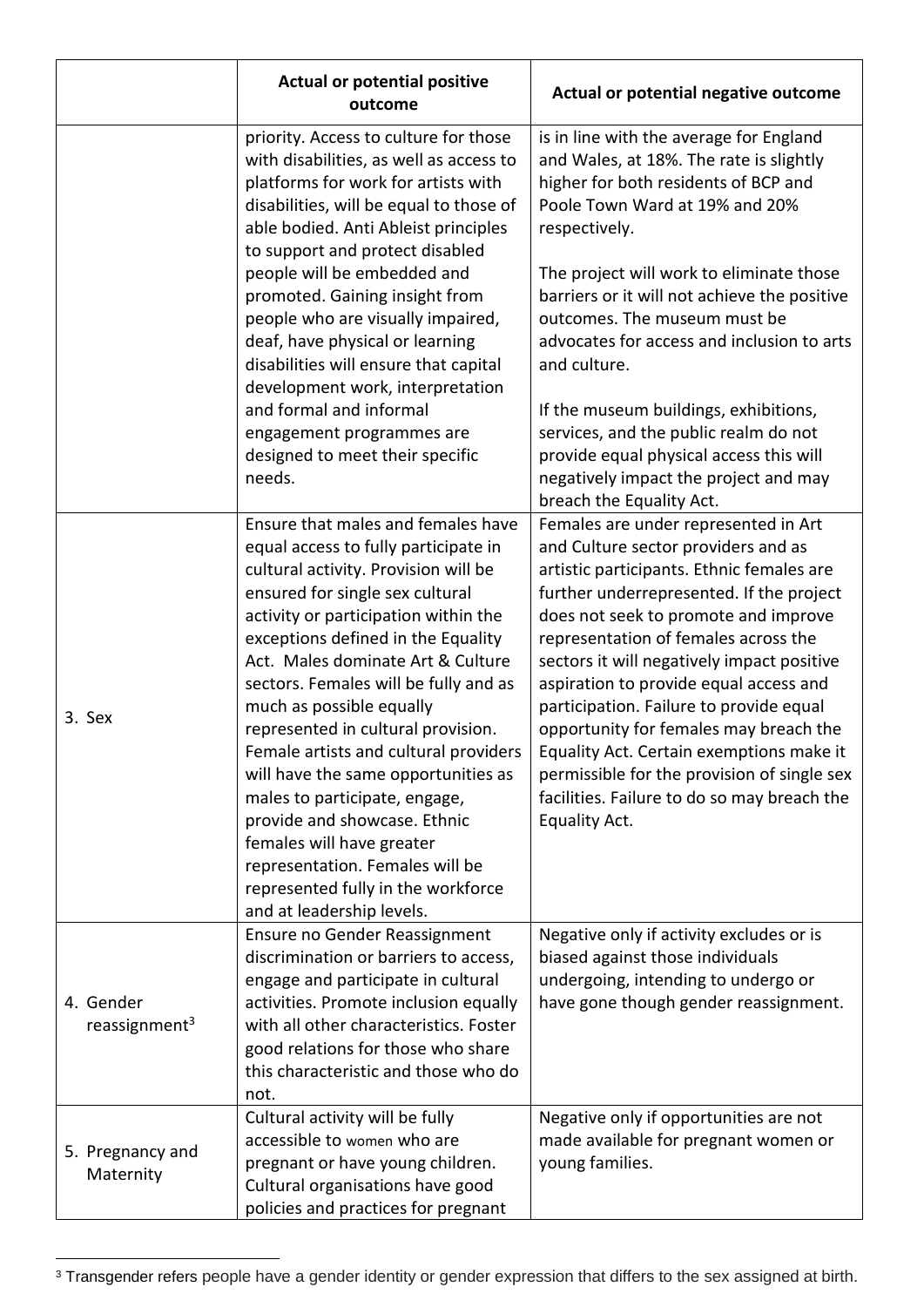|                                        | <b>Actual or potential positive</b><br>outcome                                                                                                                                                                                                                                                                                                                                                                                                                                                                                                                                                                                                                          | Actual or potential negative outcome                                                                                                                                                                                                                                                                                                                                                                                                                                                                                                                                                         |
|----------------------------------------|-------------------------------------------------------------------------------------------------------------------------------------------------------------------------------------------------------------------------------------------------------------------------------------------------------------------------------------------------------------------------------------------------------------------------------------------------------------------------------------------------------------------------------------------------------------------------------------------------------------------------------------------------------------------------|----------------------------------------------------------------------------------------------------------------------------------------------------------------------------------------------------------------------------------------------------------------------------------------------------------------------------------------------------------------------------------------------------------------------------------------------------------------------------------------------------------------------------------------------------------------------------------------------|
|                                        | priority. Access to culture for those<br>with disabilities, as well as access to<br>platforms for work for artists with<br>disabilities, will be equal to those of<br>able bodied. Anti Ableist principles<br>to support and protect disabled<br>people will be embedded and                                                                                                                                                                                                                                                                                                                                                                                            | is in line with the average for England<br>and Wales, at 18%. The rate is slightly<br>higher for both residents of BCP and<br>Poole Town Ward at 19% and 20%<br>respectively.<br>The project will work to eliminate those                                                                                                                                                                                                                                                                                                                                                                    |
|                                        | promoted. Gaining insight from<br>people who are visually impaired,<br>deaf, have physical or learning<br>disabilities will ensure that capital<br>development work, interpretation                                                                                                                                                                                                                                                                                                                                                                                                                                                                                     | barriers or it will not achieve the positive<br>outcomes. The museum must be<br>advocates for access and inclusion to arts<br>and culture.                                                                                                                                                                                                                                                                                                                                                                                                                                                   |
|                                        | and formal and informal<br>engagement programmes are<br>designed to meet their specific<br>needs.                                                                                                                                                                                                                                                                                                                                                                                                                                                                                                                                                                       | If the museum buildings, exhibitions,<br>services, and the public realm do not<br>provide equal physical access this will<br>negatively impact the project and may<br>breach the Equality Act.                                                                                                                                                                                                                                                                                                                                                                                               |
| 3. Sex                                 | Ensure that males and females have<br>equal access to fully participate in<br>cultural activity. Provision will be<br>ensured for single sex cultural<br>activity or participation within the<br>exceptions defined in the Equality<br>Act. Males dominate Art & Culture<br>sectors. Females will be fully and as<br>much as possible equally<br>represented in cultural provision.<br>Female artists and cultural providers<br>will have the same opportunities as<br>males to participate, engage,<br>provide and showcase. Ethnic<br>females will have greater<br>representation. Females will be<br>represented fully in the workforce<br>and at leadership levels. | Females are under represented in Art<br>and Culture sector providers and as<br>artistic participants. Ethnic females are<br>further underrepresented. If the project<br>does not seek to promote and improve<br>representation of females across the<br>sectors it will negatively impact positive<br>aspiration to provide equal access and<br>participation. Failure to provide equal<br>opportunity for females may breach the<br>Equality Act. Certain exemptions make it<br>permissible for the provision of single sex<br>facilities. Failure to do so may breach the<br>Equality Act. |
| 4. Gender<br>reassignment <sup>3</sup> | Ensure no Gender Reassignment<br>discrimination or barriers to access,<br>engage and participate in cultural<br>activities. Promote inclusion equally<br>with all other characteristics. Foster<br>good relations for those who share<br>this characteristic and those who do<br>not.                                                                                                                                                                                                                                                                                                                                                                                   | Negative only if activity excludes or is<br>biased against those individuals<br>undergoing, intending to undergo or<br>have gone though gender reassignment.                                                                                                                                                                                                                                                                                                                                                                                                                                 |
| 5. Pregnancy and<br>Maternity          | Cultural activity will be fully<br>accessible to women who are<br>pregnant or have young children.<br>Cultural organisations have good<br>policies and practices for pregnant                                                                                                                                                                                                                                                                                                                                                                                                                                                                                           | Negative only if opportunities are not<br>made available for pregnant women or<br>young families.                                                                                                                                                                                                                                                                                                                                                                                                                                                                                            |

<sup>&</sup>lt;sup>3</sup> Transgender refers people have a gender identity or gender expression that differs to the sex assigned at birth.

1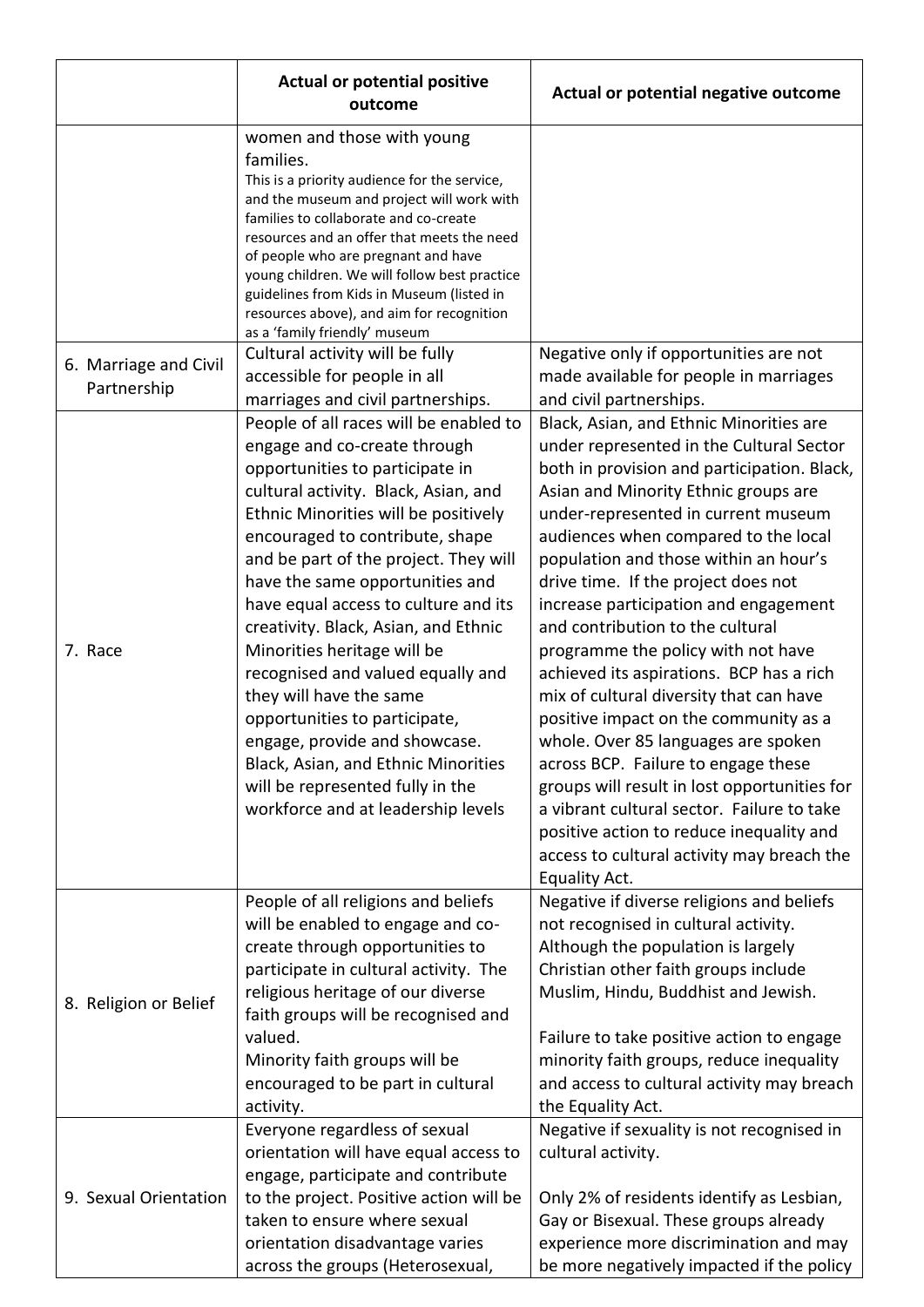|                                      | <b>Actual or potential positive</b><br>outcome                                                                                                                                                                                                                                                                                                                                                                                                                                                                                                                                                                                                                             | Actual or potential negative outcome                                                                                                                                                                                                                                                                                                                                                                                                                                                                                                                                                                                                                                                                                                                                                                                                                                                |
|--------------------------------------|----------------------------------------------------------------------------------------------------------------------------------------------------------------------------------------------------------------------------------------------------------------------------------------------------------------------------------------------------------------------------------------------------------------------------------------------------------------------------------------------------------------------------------------------------------------------------------------------------------------------------------------------------------------------------|-------------------------------------------------------------------------------------------------------------------------------------------------------------------------------------------------------------------------------------------------------------------------------------------------------------------------------------------------------------------------------------------------------------------------------------------------------------------------------------------------------------------------------------------------------------------------------------------------------------------------------------------------------------------------------------------------------------------------------------------------------------------------------------------------------------------------------------------------------------------------------------|
|                                      | women and those with young<br>families.<br>This is a priority audience for the service,<br>and the museum and project will work with<br>families to collaborate and co-create<br>resources and an offer that meets the need<br>of people who are pregnant and have<br>young children. We will follow best practice<br>guidelines from Kids in Museum (listed in<br>resources above), and aim for recognition<br>as a 'family friendly' museum                                                                                                                                                                                                                              |                                                                                                                                                                                                                                                                                                                                                                                                                                                                                                                                                                                                                                                                                                                                                                                                                                                                                     |
| 6. Marriage and Civil<br>Partnership | Cultural activity will be fully<br>accessible for people in all<br>marriages and civil partnerships.                                                                                                                                                                                                                                                                                                                                                                                                                                                                                                                                                                       | Negative only if opportunities are not<br>made available for people in marriages<br>and civil partnerships.                                                                                                                                                                                                                                                                                                                                                                                                                                                                                                                                                                                                                                                                                                                                                                         |
| 7. Race                              | People of all races will be enabled to<br>engage and co-create through<br>opportunities to participate in<br>cultural activity. Black, Asian, and<br>Ethnic Minorities will be positively<br>encouraged to contribute, shape<br>and be part of the project. They will<br>have the same opportunities and<br>have equal access to culture and its<br>creativity. Black, Asian, and Ethnic<br>Minorities heritage will be<br>recognised and valued equally and<br>they will have the same<br>opportunities to participate,<br>engage, provide and showcase.<br>Black, Asian, and Ethnic Minorities<br>will be represented fully in the<br>workforce and at leadership levels | Black, Asian, and Ethnic Minorities are<br>under represented in the Cultural Sector<br>both in provision and participation. Black,<br>Asian and Minority Ethnic groups are<br>under-represented in current museum<br>audiences when compared to the local<br>population and those within an hour's<br>drive time. If the project does not<br>increase participation and engagement<br>and contribution to the cultural<br>programme the policy with not have<br>achieved its aspirations. BCP has a rich<br>mix of cultural diversity that can have<br>positive impact on the community as a<br>whole. Over 85 languages are spoken<br>across BCP. Failure to engage these<br>groups will result in lost opportunities for<br>a vibrant cultural sector. Failure to take<br>positive action to reduce inequality and<br>access to cultural activity may breach the<br>Equality Act. |
| 8. Religion or Belief                | People of all religions and beliefs<br>will be enabled to engage and co-<br>create through opportunities to<br>participate in cultural activity. The<br>religious heritage of our diverse<br>faith groups will be recognised and<br>valued.<br>Minority faith groups will be<br>encouraged to be part in cultural<br>activity.                                                                                                                                                                                                                                                                                                                                             | Negative if diverse religions and beliefs<br>not recognised in cultural activity.<br>Although the population is largely<br>Christian other faith groups include<br>Muslim, Hindu, Buddhist and Jewish.<br>Failure to take positive action to engage<br>minority faith groups, reduce inequality<br>and access to cultural activity may breach<br>the Equality Act.                                                                                                                                                                                                                                                                                                                                                                                                                                                                                                                  |
| 9. Sexual Orientation                | Everyone regardless of sexual<br>orientation will have equal access to<br>engage, participate and contribute<br>to the project. Positive action will be<br>taken to ensure where sexual<br>orientation disadvantage varies<br>across the groups (Heterosexual,                                                                                                                                                                                                                                                                                                                                                                                                             | Negative if sexuality is not recognised in<br>cultural activity.<br>Only 2% of residents identify as Lesbian,<br>Gay or Bisexual. These groups already<br>experience more discrimination and may<br>be more negatively impacted if the policy                                                                                                                                                                                                                                                                                                                                                                                                                                                                                                                                                                                                                                       |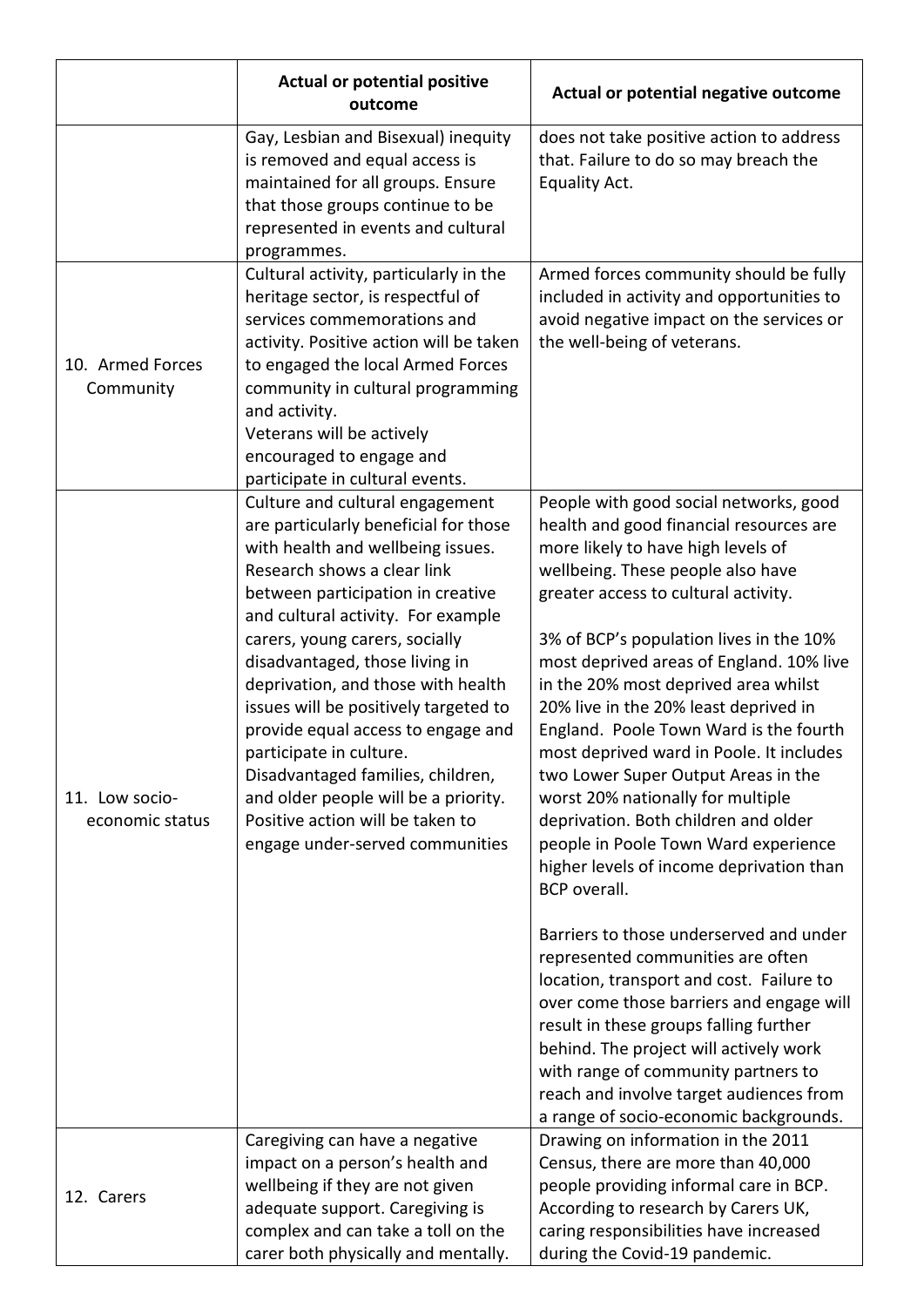|                                   | <b>Actual or potential positive</b><br>outcome                                                                                                                                                                                                                                                                                                                                                                                                                                                                                                                                                  | Actual or potential negative outcome                                                                                                                                                                                                                                                                                                                                                                                                                                                                                                                                                                                                                                                                                                         |
|-----------------------------------|-------------------------------------------------------------------------------------------------------------------------------------------------------------------------------------------------------------------------------------------------------------------------------------------------------------------------------------------------------------------------------------------------------------------------------------------------------------------------------------------------------------------------------------------------------------------------------------------------|----------------------------------------------------------------------------------------------------------------------------------------------------------------------------------------------------------------------------------------------------------------------------------------------------------------------------------------------------------------------------------------------------------------------------------------------------------------------------------------------------------------------------------------------------------------------------------------------------------------------------------------------------------------------------------------------------------------------------------------------|
|                                   | Gay, Lesbian and Bisexual) inequity<br>is removed and equal access is<br>maintained for all groups. Ensure<br>that those groups continue to be<br>represented in events and cultural<br>programmes.                                                                                                                                                                                                                                                                                                                                                                                             | does not take positive action to address<br>that. Failure to do so may breach the<br>Equality Act.                                                                                                                                                                                                                                                                                                                                                                                                                                                                                                                                                                                                                                           |
| 10. Armed Forces<br>Community     | Cultural activity, particularly in the<br>heritage sector, is respectful of<br>services commemorations and<br>activity. Positive action will be taken<br>to engaged the local Armed Forces<br>community in cultural programming<br>and activity.<br>Veterans will be actively<br>encouraged to engage and<br>participate in cultural events.                                                                                                                                                                                                                                                    | Armed forces community should be fully<br>included in activity and opportunities to<br>avoid negative impact on the services or<br>the well-being of veterans.                                                                                                                                                                                                                                                                                                                                                                                                                                                                                                                                                                               |
| 11. Low socio-<br>economic status | Culture and cultural engagement<br>are particularly beneficial for those<br>with health and wellbeing issues.<br>Research shows a clear link<br>between participation in creative<br>and cultural activity. For example<br>carers, young carers, socially<br>disadvantaged, those living in<br>deprivation, and those with health<br>issues will be positively targeted to<br>provide equal access to engage and<br>participate in culture.<br>Disadvantaged families, children,<br>and older people will be a priority.<br>Positive action will be taken to<br>engage under-served communities | People with good social networks, good<br>health and good financial resources are<br>more likely to have high levels of<br>wellbeing. These people also have<br>greater access to cultural activity.<br>3% of BCP's population lives in the 10%<br>most deprived areas of England. 10% live<br>in the 20% most deprived area whilst<br>20% live in the 20% least deprived in<br>England. Poole Town Ward is the fourth<br>most deprived ward in Poole. It includes<br>two Lower Super Output Areas in the<br>worst 20% nationally for multiple<br>deprivation. Both children and older<br>people in Poole Town Ward experience<br>higher levels of income deprivation than<br><b>BCP</b> overall.<br>Barriers to those underserved and under |
|                                   |                                                                                                                                                                                                                                                                                                                                                                                                                                                                                                                                                                                                 | represented communities are often<br>location, transport and cost. Failure to<br>over come those barriers and engage will<br>result in these groups falling further<br>behind. The project will actively work<br>with range of community partners to<br>reach and involve target audiences from<br>a range of socio-economic backgrounds.                                                                                                                                                                                                                                                                                                                                                                                                    |
| 12. Carers                        | Caregiving can have a negative<br>impact on a person's health and<br>wellbeing if they are not given<br>adequate support. Caregiving is<br>complex and can take a toll on the<br>carer both physically and mentally.                                                                                                                                                                                                                                                                                                                                                                            | Drawing on information in the 2011<br>Census, there are more than 40,000<br>people providing informal care in BCP.<br>According to research by Carers UK,<br>caring responsibilities have increased<br>during the Covid-19 pandemic.                                                                                                                                                                                                                                                                                                                                                                                                                                                                                                         |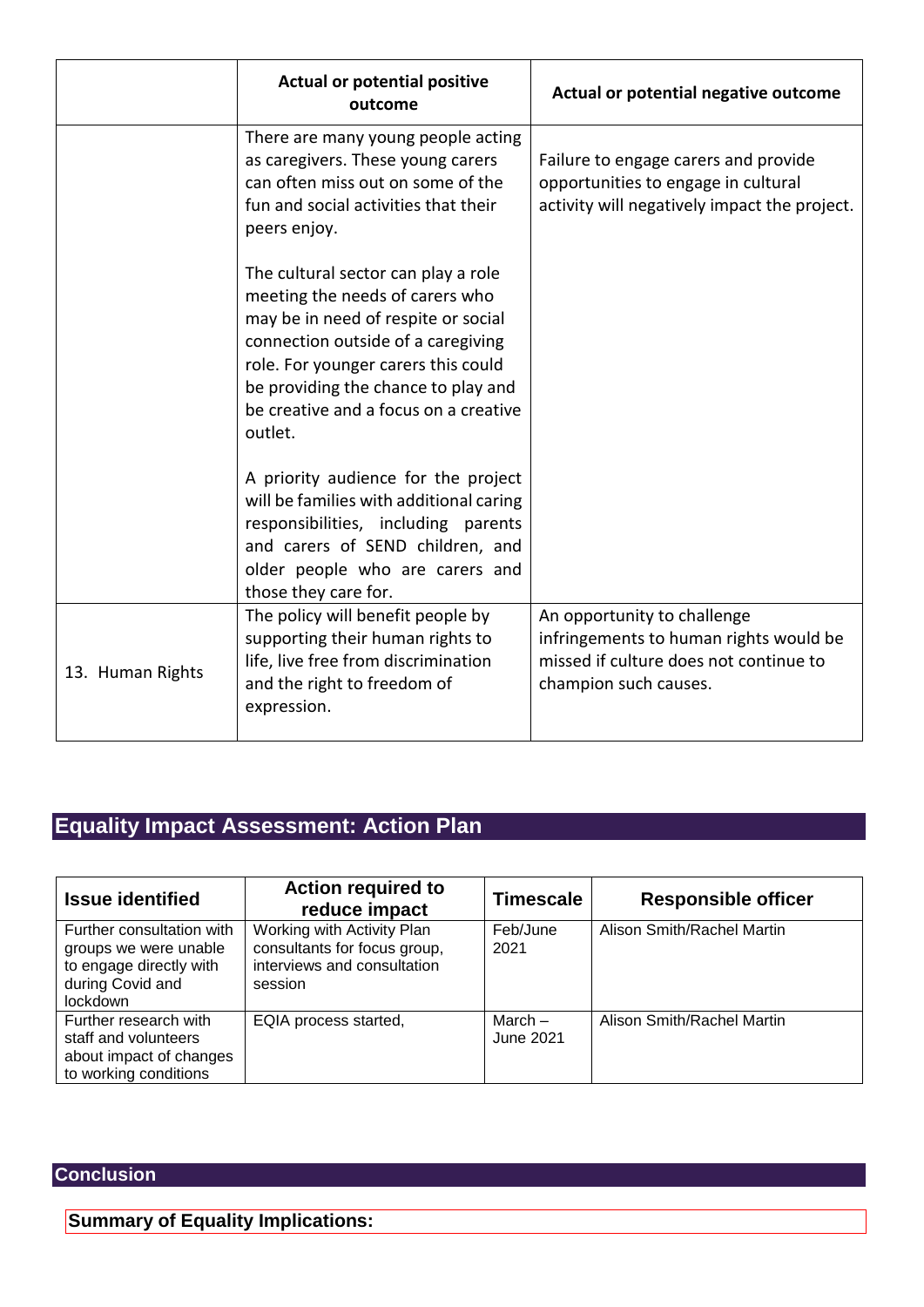|                  | <b>Actual or potential positive</b><br>outcome                                                                                                                                                                                                                                        | Actual or potential negative outcome                                                                                                     |
|------------------|---------------------------------------------------------------------------------------------------------------------------------------------------------------------------------------------------------------------------------------------------------------------------------------|------------------------------------------------------------------------------------------------------------------------------------------|
|                  | There are many young people acting<br>as caregivers. These young carers<br>can often miss out on some of the<br>fun and social activities that their<br>peers enjoy.                                                                                                                  | Failure to engage carers and provide<br>opportunities to engage in cultural<br>activity will negatively impact the project.              |
|                  | The cultural sector can play a role<br>meeting the needs of carers who<br>may be in need of respite or social<br>connection outside of a caregiving<br>role. For younger carers this could<br>be providing the chance to play and<br>be creative and a focus on a creative<br>outlet. |                                                                                                                                          |
|                  | A priority audience for the project<br>will be families with additional caring<br>responsibilities, including parents<br>and carers of SEND children, and<br>older people who are carers and<br>those they care for.                                                                  |                                                                                                                                          |
| 13. Human Rights | The policy will benefit people by<br>supporting their human rights to<br>life, live free from discrimination<br>and the right to freedom of<br>expression.                                                                                                                            | An opportunity to challenge<br>infringements to human rights would be<br>missed if culture does not continue to<br>champion such causes. |

# **Equality Impact Assessment: Action Plan**

| <b>Issue identified</b>                                                                                       | <b>Action required to</b><br>reduce impact                                                           | <b>Timescale</b>       | <b>Responsible officer</b> |
|---------------------------------------------------------------------------------------------------------------|------------------------------------------------------------------------------------------------------|------------------------|----------------------------|
| Further consultation with<br>groups we were unable<br>to engage directly with<br>during Covid and<br>lockdown | Working with Activity Plan<br>consultants for focus group,<br>interviews and consultation<br>session | Feb/June<br>2021       | Alison Smith/Rachel Martin |
| Further research with<br>staff and volunteers<br>about impact of changes<br>to working conditions             | EQIA process started,                                                                                | March $-$<br>June 2021 | Alison Smith/Rachel Martin |

# **Conclusion**

**Summary of Equality Implications:**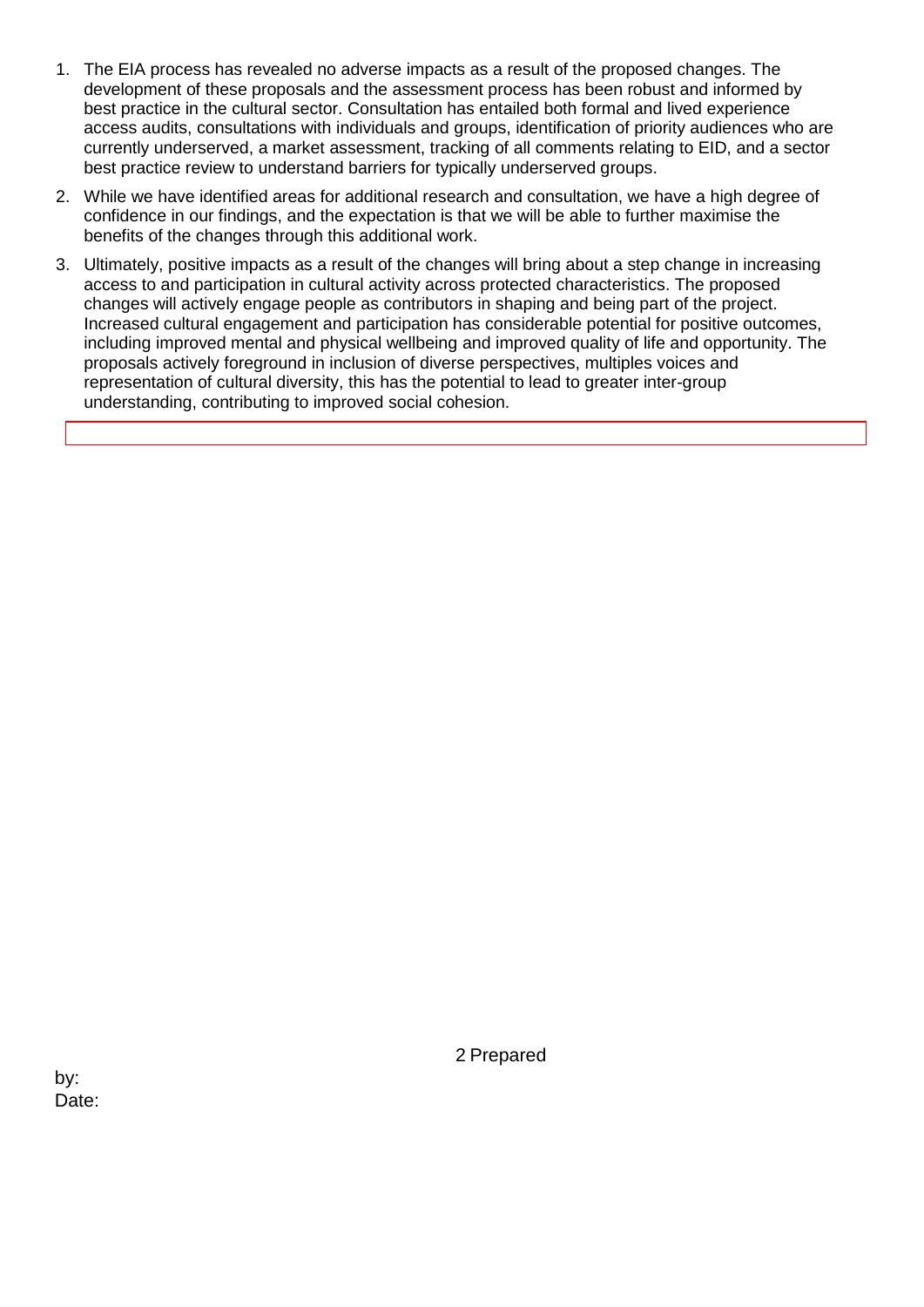- 1. The EIA process has revealed no adverse impacts as a result of the proposed changes. The development of these proposals and the assessment process has been robust and informed by best practice in the cultural sector. Consultation has entailed both formal and lived experience access audits, consultations with individuals and groups, identification of priority audiences who are currently underserved, a market assessment, tracking of all comments relating to EID, and a sector best practice review to understand barriers for typically underserved groups.
- 2. While we have identified areas for additional research and consultation, we have a high degree of confidence in our findings, and the expectation is that we will be able to further maximise the benefits of the changes through this additional work.
- 3. Ultimately, positive impacts as a result of the changes will bring about a step change in increasing access to and participation in cultural activity across protected characteristics. The proposed changes will actively engage people as contributors in shaping and being part of the project. Increased cultural engagement and participation has considerable potential for positive outcomes, including improved mental and physical wellbeing and improved quality of life and opportunity. The proposals actively foreground in inclusion of diverse perspectives, multiples voices and representation of cultural diversity, this has the potential to lead to greater inter-group understanding, contributing to improved social cohesion.

2 Prepared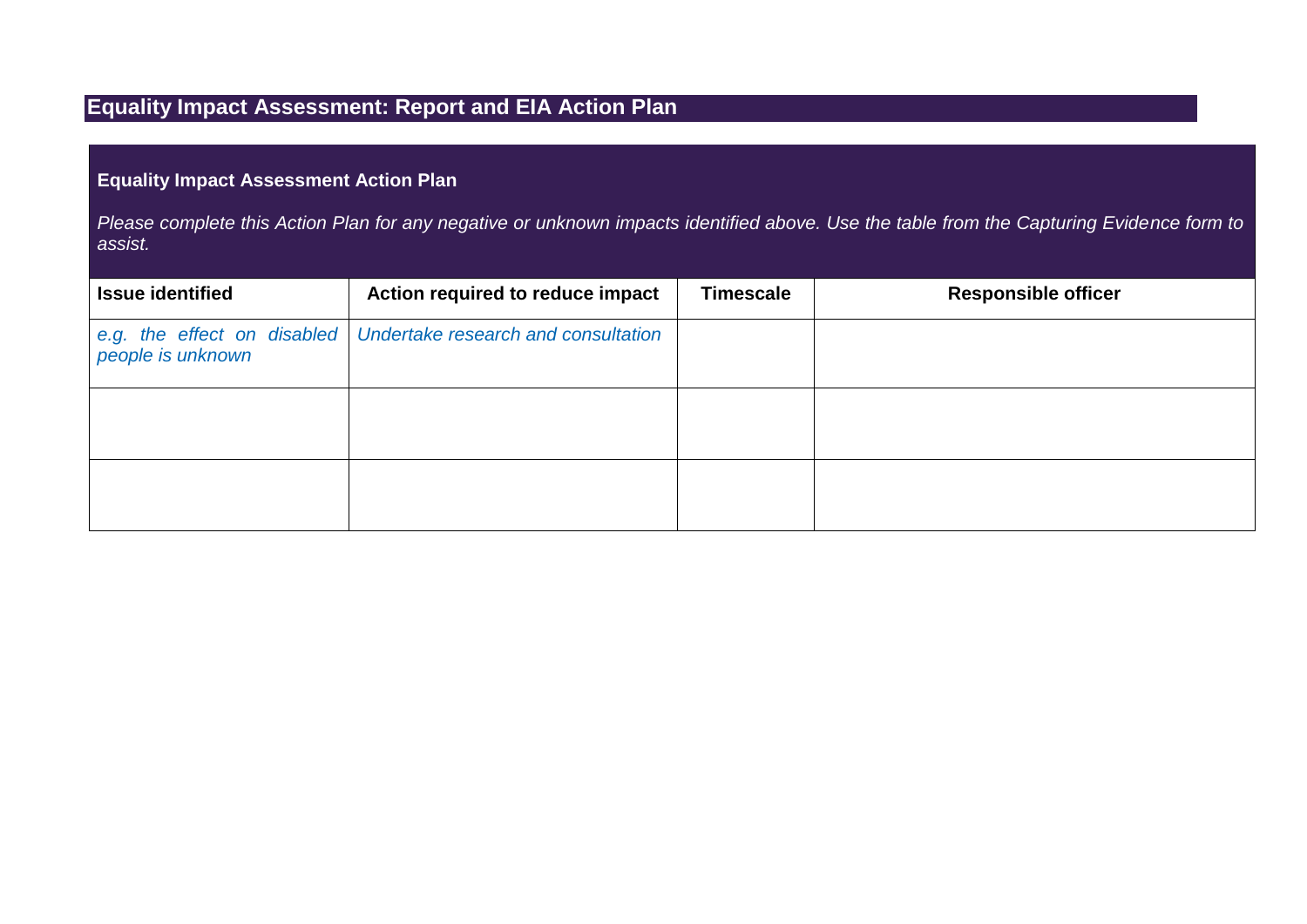# **Equality Impact Assessment: Report and EIA Action Plan**

## **Equality Impact Assessment Action Plan**

*Please complete this Action Plan for any negative or unknown impacts identified above. Use the table from the Capturing Evidence form to assist.* 

| <b>Issue identified</b> | Action required to reduce impact                                  | <b>Timescale</b> | <b>Responsible officer</b> |
|-------------------------|-------------------------------------------------------------------|------------------|----------------------------|
| people is unknown       | e.g. the effect on disabled   Undertake research and consultation |                  |                            |
|                         |                                                                   |                  |                            |
|                         |                                                                   |                  |                            |